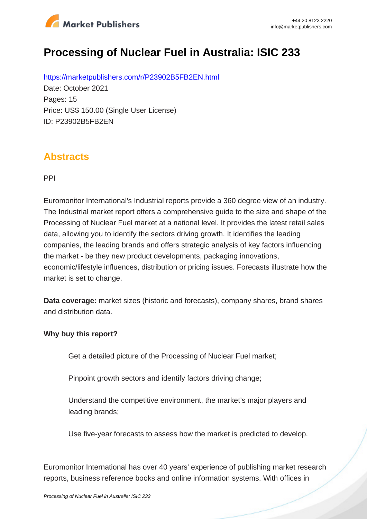

# **Processing of Nuclear Fuel in Australia: ISIC 233**

https://marketpublishers.com/r/P23902B5FB2EN.html Date: October 2021 Pages: 15 Price: US\$ 150.00 (Single User License) ID: P23902B5FB2EN

### **Abstracts**

PPI

Euromonitor International's Industrial reports provide a 360 degree view of an industry. The Industrial market report offers a comprehensive guide to the size and shape of the Processing of Nuclear Fuel market at a national level. It provides the latest retail sales data, allowing you to identify the sectors driving growth. It identifies the leading companies, the leading brands and offers strategic analysis of key factors influencing the market - be they new product developments, packaging innovations, economic/lifestyle influences, distribution or pricing issues. Forecasts illustrate how the market is set to change.

**Data coverage:** market sizes (historic and forecasts), company shares, brand shares and distribution data.

#### **Why buy this report?**

Get a detailed picture of the Processing of Nuclear Fuel market;

Pinpoint growth sectors and identify factors driving change;

Understand the competitive environment, the market's major players and leading brands;

Use five-year forecasts to assess how the market is predicted to develop.

Euromonitor International has over 40 years' experience of publishing market research reports, business reference books and online information systems. With offices in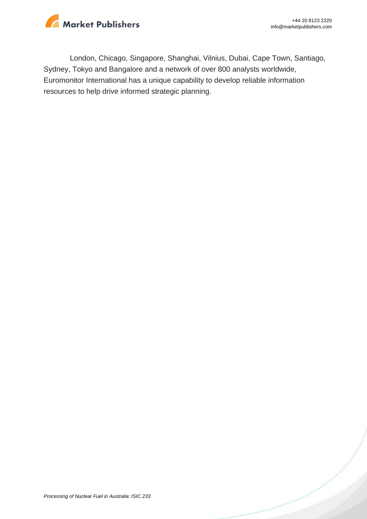

London, Chicago, Singapore, Shanghai, Vilnius, Dubai, Cape Town, Santiago, Sydney, Tokyo and Bangalore and a network of over 800 analysts worldwide, Euromonitor International has a unique capability to develop reliable information resources to help drive informed strategic planning.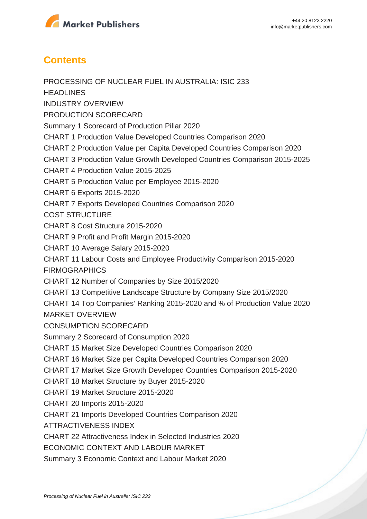

## **Contents**

PROCESSING OF NUCLEAR FUEL IN AUSTRALIA: ISIC 233 **HEADLINES** INDUSTRY OVERVIEW PRODUCTION SCORECARD Summary 1 Scorecard of Production Pillar 2020 CHART 1 Production Value Developed Countries Comparison 2020 CHART 2 Production Value per Capita Developed Countries Comparison 2020 CHART 3 Production Value Growth Developed Countries Comparison 2015-2025 CHART 4 Production Value 2015-2025 CHART 5 Production Value per Employee 2015-2020 CHART 6 Exports 2015-2020 CHART 7 Exports Developed Countries Comparison 2020 COST STRUCTURE CHART 8 Cost Structure 2015-2020 CHART 9 Profit and Profit Margin 2015-2020 CHART 10 Average Salary 2015-2020 CHART 11 Labour Costs and Employee Productivity Comparison 2015-2020 **FIRMOGRAPHICS** CHART 12 Number of Companies by Size 2015/2020 CHART 13 Competitive Landscape Structure by Company Size 2015/2020 CHART 14 Top Companies' Ranking 2015-2020 and % of Production Value 2020 MARKET OVERVIEW CONSUMPTION SCORECARD Summary 2 Scorecard of Consumption 2020 CHART 15 Market Size Developed Countries Comparison 2020 CHART 16 Market Size per Capita Developed Countries Comparison 2020 CHART 17 Market Size Growth Developed Countries Comparison 2015-2020 CHART 18 Market Structure by Buyer 2015-2020 CHART 19 Market Structure 2015-2020 CHART 20 Imports 2015-2020 CHART 21 Imports Developed Countries Comparison 2020 ATTRACTIVENESS INDEX CHART 22 Attractiveness Index in Selected Industries 2020 ECONOMIC CONTEXT AND LABOUR MARKET Summary 3 Economic Context and Labour Market 2020